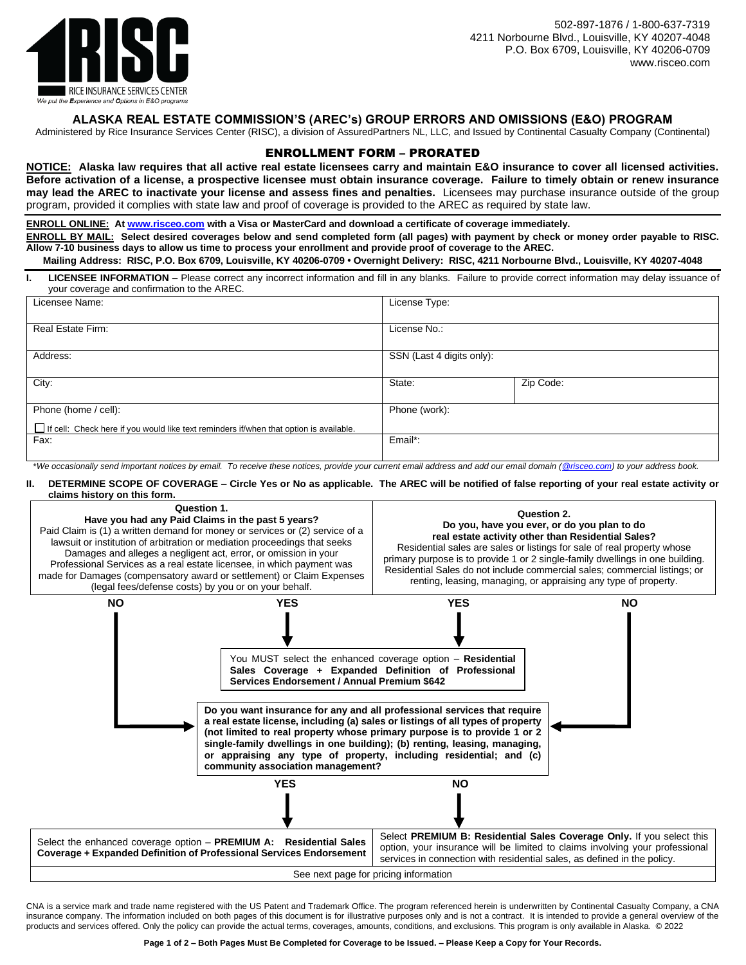

## **ALASKA REAL ESTATE COMMISSION'S (AREC's) GROUP ERRORS AND OMISSIONS (E&O) PROGRAM**

Administered by Rice Insurance Services Center (RISC), a division of AssuredPartners NL, LLC, and Issued by Continental Casualty Company (Continental)

## ENROLLMENT FORM – PRORATED

**NOTICE: Alaska law requires that all active real estate licensees carry and maintain E&O insurance to cover all licensed activities. Before activation of a license, a prospective licensee must obtain insurance coverage. Failure to timely obtain or renew insurance may lead the AREC to inactivate your license and assess fines and penalties.** Licensees may purchase insurance outside of the group program, provided it complies with state law and proof of coverage is provided to the AREC as required by state law.

**ENROLL ONLINE: A[t www.risceo.com](http://www.risceo.com/) with a Visa or MasterCard and download a certificate of coverage immediately.**

**ENROLL BY MAIL: Select desired coverages below and send completed form (all pages) with payment by check or money order payable to RISC. Allow 7-10 business days to allow us time to process your enrollment and provide proof of coverage to the AREC.** 

**Mailing Address: RISC, P.O. Box 6709, Louisville, KY 40206-0709 • Overnight Delivery: RISC, 4211 Norbourne Blvd., Louisville, KY 40207-4048**

**I. LICENSEE INFORMATION –** Please correct any incorrect information and fill in any blanks. Failure to provide correct information may delay issuance of your coverage and confirmation to the AREC.

| Licensee Name:                                                                                                        | License Type:                          |           |  |  |  |
|-----------------------------------------------------------------------------------------------------------------------|----------------------------------------|-----------|--|--|--|
| Real Estate Firm:                                                                                                     | License No.:                           |           |  |  |  |
| Address:                                                                                                              | SSN (Last 4 digits only):              |           |  |  |  |
| City:                                                                                                                 | State:                                 | Zip Code: |  |  |  |
| Phone (home / cell):<br>$\Box$ If cell: Check here if you would like text reminders if/when that option is available. | Phone (work):                          |           |  |  |  |
| Fax:<br>$\sim$ $\sim$                                                                                                 | Email*:<br>$\sim$ $\sim$ $\sim$ $\sim$ |           |  |  |  |

\**We occasionally send important notices by email. To receive these notices, provide your current email address and add our email domain [\(@risceo.com\)](mailto:policyadministrator@risceo.com) to your address book.*

**II. DETERMINE SCOPE OF COVERAGE – Circle Yes or No as applicable. The AREC will be notified of false reporting of your real estate activity or claims history on this form.**



CNA is a service mark and trade name registered with the US Patent and Trademark Office. The program referenced herein is underwritten by Continental Casualty Company, a CNA insurance company. The information included on both pages of this document is for illustrative purposes only and is not a contract. It is intended to provide a general overview of the products and services offered. Only the policy can provide the actual terms, coverages, amounts, conditions, and exclusions. This program is only available in Alaska. © 2022